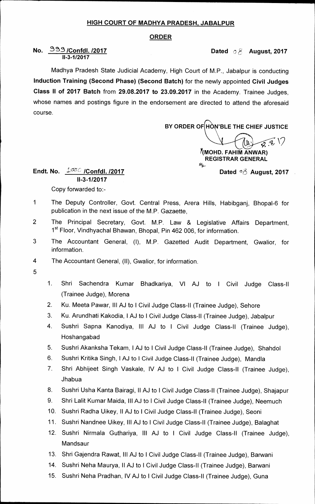## **HIGH COURT OF MADHYA PRADESH, JABALPUR**

## **ORDER**

## **No.** 333 /Confdl. /2017 **Dated 68 August, 2017 11-3-1/2017**

**Madhya Pradesh State Judicial Academy, High Court of M.P., Jabalpur is conducting Induction Training (Second Phase) (Second Batch) for the newly appointed Civil Judges Class II of 2017 Batch from 29.08.2017 to 23.09.2017 in the Academy. Trainee Judges, whose names and postings figure in the endorsement are directed to attend the aforesaid course.** 

**BY ORDER OF HON'BLE THE CHIEF JUSTICE** 

 $\mathscr{D}(\mathscr{G},\mathcal{N})$ A tr

**/(MOHD. FAHIM ANWAR) REGISTRAR GENERAL 6(3--**  Dated <sup>o</sup> $\delta$  August, 2017

**Endt. No.**  $\frac{1}{300}$  /Confdl. /2017 **11-3-1/2017 Copy forwarded to:-** 

- **1 The Deputy Controller, Govt. Central Press, Arera Hills, Habibganj, Bhopal-6 for publication in the next issue of the M.P. Gazaette,**
- **2 The Principal Secretary, Govt. M.P. Law & Legislative Affairs Department,**  1<sup>st</sup> Floor, Vindhyachal Bhawan, Bhopal, Pin 462 006, for information.
- **3 The Accountant General, (I), M.P. Gazetted Audit Department, Gwalior, for information.**
- **4 The Accountant General, (II), Gwalior, for information.**
- **5**
- **1. Shri Sachendra Kumar Bhadkariya, VI AJ to I Civil Judge Class-II (Trainee Judge), Morena**
- **2. Ku. Meeta Pawar, Ill AJ to I Civil Judge Class-11 (Trainee Judge), Sehore**
- **3. Ku. Arundhati Kakodia, I AJ to I Civil Judge Class-II (Trainee Judge), Jabalpur**
- **4. Sushri Sapna Kanodiya, Ill AJ to I Civil Judge Class-II (Trainee Judge), Hoshangabad**
- 5. Sushri Akanksha Tekam, I AJ to I Civil Judge Class-II (Trainee Judge), Shahdol
- **6. Sushri Kritika Singh, I AJ to I Civil Judge Class-II (Trainee Judge), Mandla**
- **7. Shri Abhijeet Singh Vaskale, IV AJ to I Civil Judge Class-II (Trainee Judge), Jhabua**
- **8. Sushri Usha Kanta Bairagi, II AJ to I Civil Judge Class-II (Trainee Judge), Shajapur**
- **9. Shri Lalit Kumar Maida, Ill AJ to I Civil Judge Class-II (Trainee Judge), Neemuch**
- **10. Sushri Radha Uikey, II AJ to I Civil Judge Class-II (Trainee Judge), Seoni**
- **11. Sushri Nandnee Uikey, Ill AJ to I Civil Judge Class-II (Trainee Judge), Balaghat**
- **12. Sushri Nirmala Guthariya, III AJ to I Civil Judge Class-II (Trainee Judge), Mandsaur**
- **13. Shri Gajendra Rawat, Ill AJ to I Civil Judge Class-II (Trainee Judge), Barwani**
- **14. Sushri Neha Maurya, II AJ to I Civil Judge Class-II (Trainee Judge), Barwani**
- **15. Sushri Neha Pradhan, IV AJ to I Civil Judge Class-II (Trainee Judge), Guna**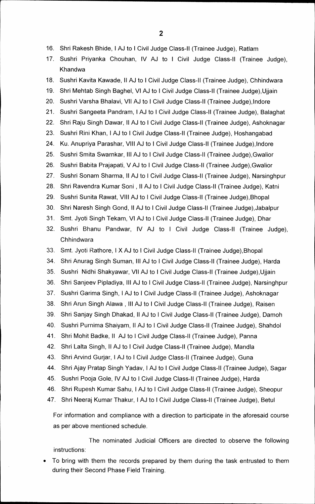- **16. Shri Rakesh Bhide, I AJ to I Civil Judge Class-II (Trainee Judge), Ratlam**
- **17. Sushri Priyanka Chouhan, IV AJ to I Civil Judge Class-II (Trainee Judge), Khandwa**
- **18. Sushri Kavita Kawade, II AJ to I Civil Judge Class-II (Trainee Judge), Chhindwara**
- **19. Shri Mehtab Singh Baghel, VI AJ to I Civil Judge Class-II (Trainee Judge),Ujjain**
- **20. Sushri Varsha Bhalavi, VII AJ to I Civil Judge Class-II (Trainee Judge),Indore**
- **21. Sushri Sangeeta Pandram, I AJ to I Civil Judge Class-II (Trainee Judge), Balaghat**
- **22. Shri Raju Singh Dawar, II AJ to I Civil Judge Class-II (Trainee Judge), Ashoknagar**
- **23. Sushri Rini Khan, I AJ to I Civil Judge Class-II (Trainee Judge), Hoshangabad**
- **24. Ku. Anupriya Parashar, VIII AJ to I Civil Judge Class-II (Trainee Judge),Indore**
- **25. Sushri Smita Swarnkar, Ill AJ to I Civil Judge Class-II (Trainee Judge),Gwalior**
- **26. Sushri Babita Prajapati, V AJ to I Civil Judge Class-II (Trainee Judge),Gwalior**
- **27. Sushri Sonam Sharma, II AJ to I Civil Judge Class-II (Trainee Judge), Narsinghpur**
- **28. Shri Ravendra Kumar Soni , II AJ to I Civil Judge Class-II (Trainee Judge), Katni**
- **29. Sushri Sunita Rawat, VIII AJ to I Civil Judge Class-II (Trainee Judge),Bhopal**
- **30. Shri Naresh Singh Gond, II AJ to I Civil Judge Class-II (Trainee Judge),Jabalpur**
- **31. Smt. Jyoti Singh Tekam, VI AJ to I Civil Judge Class-II (Trainee Judge), Dhar**
- **32. Sushri Bhanu Pandwar, IV AJ to I Civil Judge Class-II (Trainee Judge), Chhindwara**
- **33. Smt. Jyoti Rathore, I X AJ to I Civil Judge Class-II (Trainee Judge),Bhopal**
- **34. Shri Anurag Singh Suman, III AJ to I Civil Judge Class-II (Trainee Judge), Harda**
- **35. Sushri Nidhi Shakyawar, VII AJ to I Civil Judge Class-II (Trainee Judge),Ujjain**
- **36. Shri Sanjeev Pipladiya, Ill AJ to I Civil Judge Class-II (Trainee Judge), Narsinghpur**
- **37. Sushri Garima Singh, I AJ to I Civil Judge Class-II (Trainee Judge), Ashoknagar**
- **38. Shri Arun Singh Alawa , Ill AJ to I Civil Judge Class-II (Trainee Judge), Raisen**
- **39. Shri Sanjay Singh Dhakad, II AJ to I Civil Judge Class-II (Trainee Judge), Damoh**
- **40. Sushri Purnima Shaiyam, II AJ to I Civil Judge Class-II (Trainee Judge), Shahdol**
- **41. Shri Mohit Badke, II AJ to I Civil Judge Class-II (Trainee Judge), Panna**
- **42. Shri Lalta Singh, II AJ to I Civil Judge Class-II (Trainee Judge), Mandla**
- **43. Shri Arvind Gurjar, I AJ to I Civil Judge Class-II (Trainee Judge), Guna**
- **44. Shri Ajay Pratap Singh Yadav, I AJ to I Civil Judge Class-II (Trainee Judge), Sagar**
- **45. Sushri Pooja Gole, IV AJ to I Civil Judge Class-II (Trainee Judge), Harda**
- **46. Shri Rupesh Kumar Sahu, I AJ to I Civil Judge Class-II (Trainee Judge), Sheopur**
- **47. Shri Neeraj Kumar Thakur, I AJ to I Civil Judge Class-II (Trainee Judge), Betul**

**For information and compliance with a direction to participate in the aforesaid course as per above mentioned schedule.** 

**The nominated Judicial Officers are directed to observe the following instructions:** 

**• To bring with them the records prepared by them during the task entrusted to them during their Second Phase Field Training.**